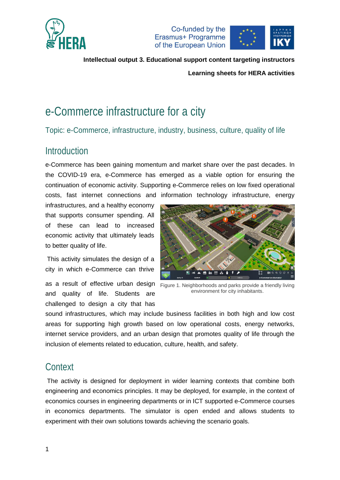



**Learning sheets for HERA activities**

# e-Commerce infrastructure for a city

Topic: e-Commerce, infrastructure, industry, business, culture, quality of life

### Introduction

e-Commerce has been gaining momentum and market share over the past decades. In the COVID-19 era, e-Commerce has emerged as a viable option for ensuring the continuation of economic activity. Supporting e-Commerce relies on low fixed operational costs, fast internet connections and information technology infrastructure, energy

infrastructures, and a healthy economy that supports consumer spending. All of these can lead to increased economic activity that ultimately leads to better quality of life.

This activity simulates the design of a city in which e-Commerce can thrive

as a result of effective urban design Figure 1. Neighborhoods and parks provide a friendly living and quality of life. Students are challenged to design a city that has



environment for city inhabitants.

sound infrastructures, which may include business facilities in both high and low cost areas for supporting high growth based on low operational costs, energy networks, internet service providers, and an urban design that promotes quality of life through the inclusion of elements related to education, culture, health, and safety.

## **Context**

The activity is designed for deployment in wider learning contexts that combine both engineering and economics principles. It may be deployed, for example, in the context of economics courses in engineering departments or in ICT supported e-Commerce courses in economics departments. The simulator is open ended and allows students to experiment with their own solutions towards achieving the scenario goals.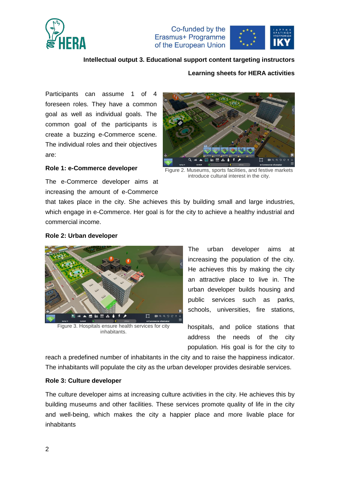

Co-funded by the Erasmus+ Programme of the European Union



### **Intellectual output 3. Educational support content targeting instructors**

#### **Learning sheets for HERA activities**

Participants can assume 1 of 4 foreseen roles. They have a common goal as well as individual goals. The common goal of the participants is create a buzzing e-Commerce scene. The individual roles and their objectives are:



#### **Role 1: e-Commerce developer**

Figure 2. Museums, sports facilities, and festive markets introduce cultural interest in the city.

The e-Commerce developer aims at increasing the amount of e-Commerce

that takes place in the city. She achieves this by building small and large industries, which engage in e-Commerce. Her goal is for the city to achieve a healthy industrial and commercial income.

#### **Role 2: Urban developer**



Figure 3. Hospitals ensure health services for city inhabitants.

The urban developer aims at increasing the population of the city. He achieves this by making the city an attractive place to live in. The urban developer builds housing and public services such as parks, schools, universities, fire stations,

hospitals, and police stations that address the needs of the city population. His goal is for the city to

reach a predefined number of inhabitants in the city and to raise the happiness indicator. The inhabitants will populate the city as the urban developer provides desirable services.

### **Role 3: Culture developer**

The culture developer aims at increasing culture activities in the city. He achieves this by building museums and other facilities. These services promote quality of life in the city and well-being, which makes the city a happier place and more livable place for inhabitants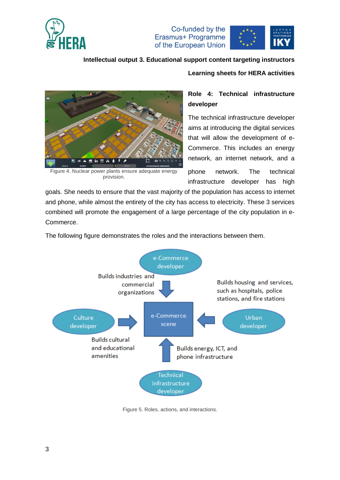

Co-funded by the Erasmus+ Programme of the European Union



### **Intellectual output 3. Educational support content targeting instructors**

#### **Learning sheets for HERA activities**



Figure 4. Nuclear power plants ensure adequate energy provision.

### **Role 4: Technical infrastructure developer**

The technical infrastructure developer aims at introducing the digital services that will allow the development of e-Commerce. This includes an energy network, an internet network, and a

phone network. The technical infrastructure developer has high

goals. She needs to ensure that the vast majority of the population has access to internet and phone, while almost the entirety of the city has access to electricity. These 3 services combined will promote the engagement of a large percentage of the city population in e-Commerce.

The following figure demonstrates the roles and the interactions between them.



Figure 5. Roles, actions, and interactions.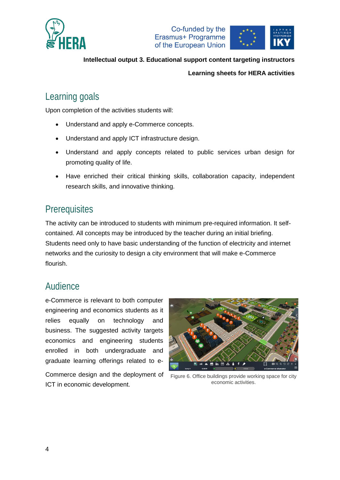





#### **Learning sheets for HERA activities**

# Learning goals

Upon completion of the activities students will:

- Understand and apply e-Commerce concepts.
- Understand and apply ICT infrastructure design.
- Understand and apply concepts related to public services urban design for promoting quality of life.
- Have enriched their critical thinking skills, collaboration capacity, independent research skills, and innovative thinking.

# **Prerequisites**

The activity can be introduced to students with minimum pre-required information. It selfcontained. All concepts may be introduced by the teacher during an initial briefing. Students need only to have basic understanding of the function of electricity and internet networks and the curiosity to design a city environment that will make e-Commerce flourish.

## Audience

e-Commerce is relevant to both computer engineering and economics students as it relies equally on technology and business. The suggested activity targets economics and engineering students enrolled in both undergraduate and graduate learning offerings related to e-

Commerce design and the deployment of ICT in economic development.



Figure 6. Office buildings provide working space for city economic activities.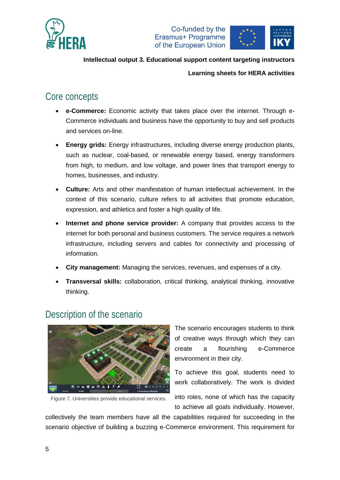



### **Learning sheets for HERA activities**

## Core concepts

- **e-Commerce:** Economic activity that takes place over the internet. Through e-Commerce individuals and business have the opportunity to buy and sell products and services on-line.
- **Energy grids:** Energy infrastructures, including diverse energy production plants, such as nuclear, coal-based, or renewable energy based, energy transformers from high, to medium, and low voltage, and power lines that transport energy to homes, businesses, and industry.
- **Culture:** Arts and other manifestation of human intellectual achievement. In the context of this scenario, culture refers to all activities that promote education, expression, and athletics and foster a high quality of life.
- **Internet and phone service provider:** A company that provides access to the internet for both personal and business customers. The service requires a network infrastructure, including servers and cables for connectivity and processing of information.
- **City management:** Managing the services, revenues, and expenses of a city.
- **Transversal skills:** collaboration, critical thinking, analytical thinking, innovative thinking.

### Description of the scenario



Figure 7. Universities provide educational services.

The scenario encourages students to think of creative ways through which they can create a flourishing e-Commerce environment in their city.

To achieve this goal, students need to work collaboratively. The work is divided

into roles, none of which has the capacity to achieve all goals individually. However,

collectively the team members have all the capabilities required for succeeding in the scenario objective of building a buzzing e-Commerce environment. This requirement for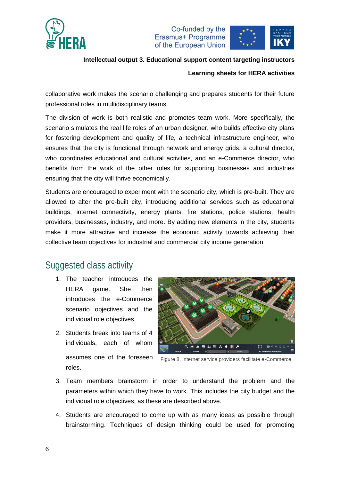

Co-funded by the Erasmus+ Programme of the European Union



### **Intellectual output 3. Educational support content targeting instructors**

#### **Learning sheets for HERA activities**

collaborative work makes the scenario challenging and prepares students for their future professional roles in multidisciplinary teams.

The division of work is both realistic and promotes team work. More specifically, the scenario simulates the real life roles of an urban designer, who builds effective city plans for fostering development and quality of life, a technical infrastructure engineer, who ensures that the city is functional through network and energy grids, a cultural director, who coordinates educational and cultural activities, and an e-Commerce director, who benefits from the work of the other roles for supporting businesses and industries ensuring that the city will thrive economically.

Students are encouraged to experiment with the scenario city, which is pre-built. They are allowed to alter the pre-built city, introducing additional services such as educational buildings, internet connectivity, energy plants, fire stations, police stations, health providers, businesses, industry, and more. By adding new elements in the city, students make it more attractive and increase the economic activity towards achieving their collective team objectives for industrial and commercial city income generation.

## Suggested class activity

- 1. The teacher introduces the HERA game. She then introduces the e-Commerce scenario objectives and the individual role objectives.
- 2. Students break into teams of 4 individuals, each of whom assumes one of the foreseen roles.



Figure 8. Internet service providers facilitate e-Commerce.

- 3. Team members brainstorm in order to understand the problem and the parameters within which they have to work. This includes the city budget and the individual role objectives, as these are described above.
- 4. Students are encouraged to come up with as many ideas as possible through brainstorming. Techniques of design thinking could be used for promoting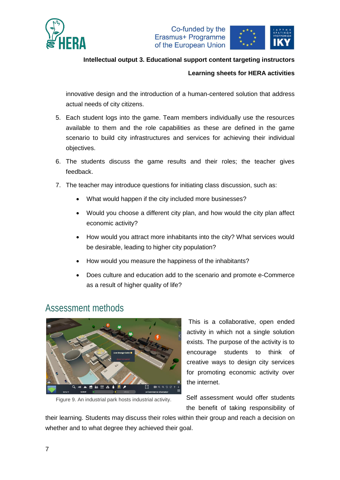



#### **Learning sheets for HERA activities**

innovative design and the introduction of a human-centered solution that address actual needs of city citizens.

- 5. Each student logs into the game. Team members individually use the resources available to them and the role capabilities as these are defined in the game scenario to build city infrastructures and services for achieving their individual objectives.
- 6. The students discuss the game results and their roles; the teacher gives feedback.
- 7. The teacher may introduce questions for initiating class discussion, such as:
	- What would happen if the city included more businesses?
	- Would you choose a different city plan, and how would the city plan affect economic activity?
	- How would you attract more inhabitants into the city? What services would be desirable, leading to higher city population?
	- How would you measure the happiness of the inhabitants?
	- Does culture and education add to the scenario and promote e-Commerce as a result of higher quality of life?

### Assessment methods



Figure 9. An industrial park hosts industrial activity.

This is a collaborative, open ended activity in which not a single solution exists. The purpose of the activity is to encourage students to think of creative ways to design city services for promoting economic activity over the internet.

Self assessment would offer students the benefit of taking responsibility of

their learning. Students may discuss their roles within their group and reach a decision on whether and to what degree they achieved their goal.